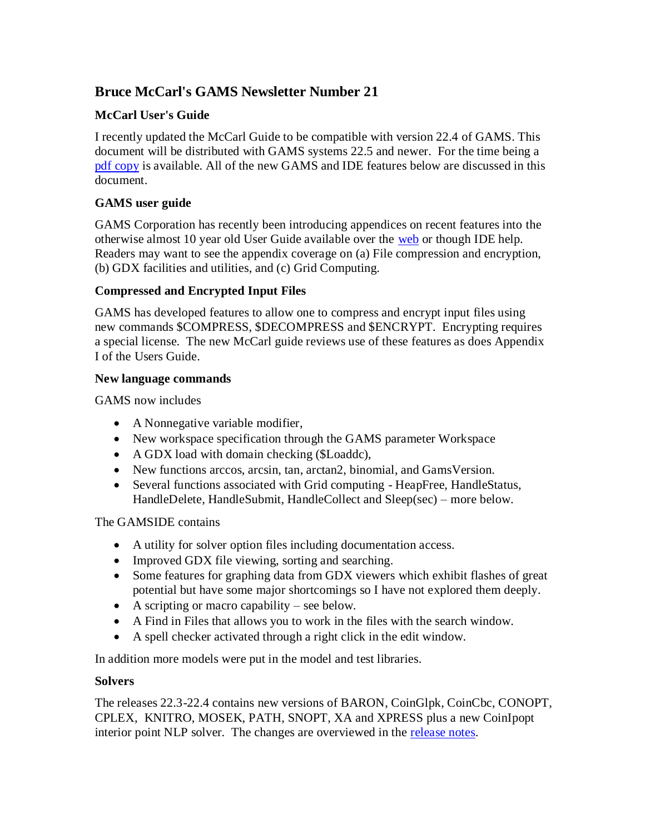# **Bruce McCarl's GAMS Newsletter Number 21**

## **McCarl User's Guide**

I recently updated the McCarl Guide to be compatible with version 22.4 of GAMS. This document will be distributed with GAMS systems 22.5 and newer. For the time being a [pdf copy](http://www.gams.com/dd/docs/bigdocs/gams2002/mccarlgamsuserguide.pdf) is available. All of the new GAMS and IDE features below are discussed in this document.

## **GAMS user guide**

GAMS Corporation has recently been introducing appendices on recent features into the otherwise almost 10 year old User Guide available over the [web](http://www.gams.com/docs/gams/GAMSUsersGuide.pdf) or though IDE help. Readers may want to see the appendix coverage on (a) File compression and encryption, (b) GDX facilities and utilities, and (c) Grid Computing.

## **Compressed and Encrypted Input Files**

GAMS has developed features to allow one to compress and encrypt input files using new commands \$COMPRESS, \$DECOMPRESS and \$ENCRYPT. Encrypting requires a special license. The new McCarl guide reviews use of these features as does Appendix I of the Users Guide.

#### **New language commands**

GAMS now includes

- A Nonnegative variable modifier,
- New workspace specification through the GAMS parameter Workspace
- A GDX load with domain checking (\$Loaddc),
- New functions arccos, arcsin, tan, arctan2, binomial, and GamsVersion.
- Several functions associated with Grid computing HeapFree, HandleStatus, HandleDelete, HandleSubmit, HandleCollect and Sleep(sec) – more below.

## The GAMSIDE contains

- A utility for solver option files including documentation access.
- Improved GDX file viewing, sorting and searching.
- Some features for graphing data from GDX viewers which exhibit flashes of great potential but have some major shortcomings so I have not explored them deeply.
- A scripting or macro capability see below.
- A Find in Files that allows you to work in the files with the search window.
- A spell checker activated through a right click in the edit window.

In addition more models were put in the model and test libraries.

## **Solvers**

The releases 22.3-22.4 contains new versions of BARON, CoinGlpk, CoinCbc, CONOPT, CPLEX, KNITRO, MOSEK, PATH, SNOPT, XA and XPRESS plus a new CoinIpopt interior point NLP solver. The changes are overviewed in the [release notes.](http://www.gams.com/docs/release/release.htm)